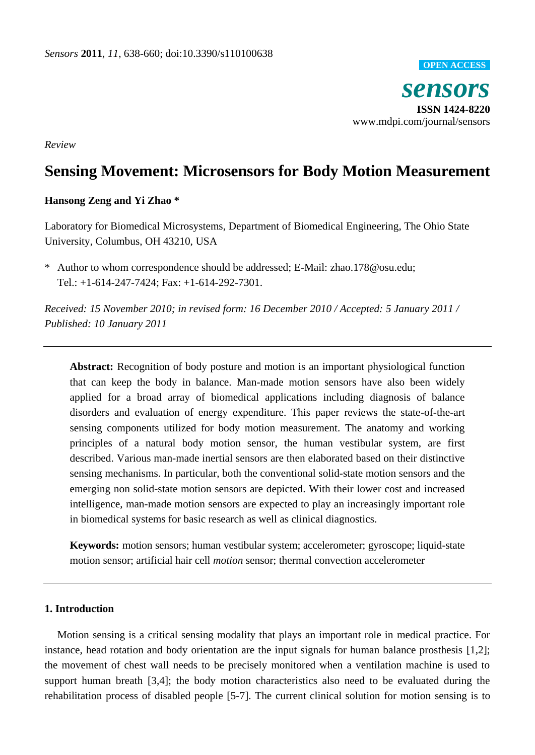

*Review*

# **Sensing Movement: Microsensors for Body Motion Measurement**

# **Hansong Zeng and Yi Zhao \***

Laboratory for Biomedical Microsystems, Department of Biomedical Engineering, The Ohio State University, Columbus, OH 43210, USA

\* Author to whom correspondence should be addressed; E-Mail: zhao.178@osu.edu; Tel.: +1-614-247-7424; Fax: +1-614-292-7301.

*Received: 15 November 2010; in revised form: 16 December 2010 / Accepted: 5 January 2011 / Published: 10 January 2011*

**Abstract:** Recognition of body posture and motion is an important physiological function that can keep the body in balance. Man-made motion sensors have also been widely applied for a broad array of biomedical applications including diagnosis of balance disorders and evaluation of energy expenditure. This paper reviews the state-of-the-art sensing components utilized for body motion measurement. The anatomy and working principles of a natural body motion sensor, the human vestibular system, are first described. Various man-made inertial sensors are then elaborated based on their distinctive sensing mechanisms. In particular, both the conventional solid-state motion sensors and the emerging non solid-state motion sensors are depicted. With their lower cost and increased intelligence, man-made motion sensors are expected to play an increasingly important role in biomedical systems for basic research as well as clinical diagnostics.

**Keywords:** motion sensors; human vestibular system; accelerometer; gyroscope; liquid-state motion sensor; artificial hair cell *motion* sensor; thermal convection accelerometer

# **1. Introduction**

Motion sensing is a critical sensing modality that plays an important role in medical practice. For instance, head rotation and body orientation are the input signals for human balance prosthesis [1,2]; the movement of chest wall needs to be precisely monitored when a ventilation machine is used to support human breath [3,4]; the body motion characteristics also need to be evaluated during the rehabilitation process of disabled people [5-7]. The current clinical solution for motion sensing is to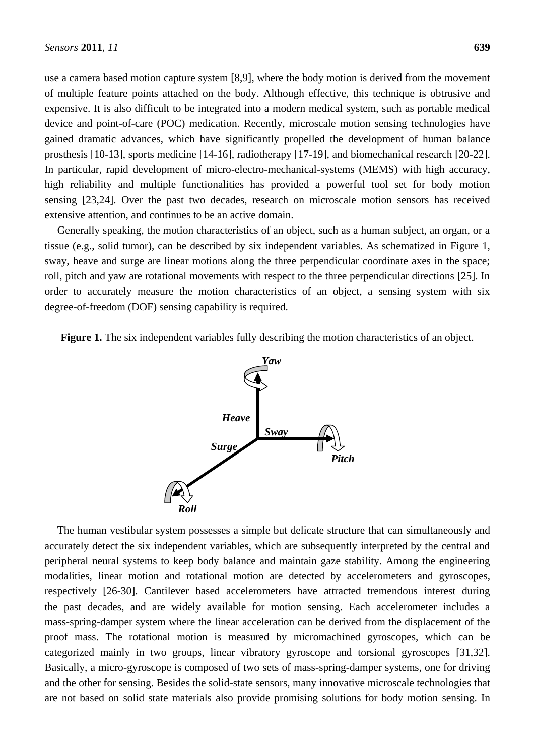use a camera based motion capture system [8,9], where the body motion is derived from the movement of multiple feature points attached on the body. Although effective, this technique is obtrusive and expensive. It is also difficult to be integrated into a modern medical system, such as portable medical device and point-of-care (POC) medication. Recently, microscale motion sensing technologies have gained dramatic advances, which have significantly propelled the development of human balance prosthesis [10-13], sports medicine [14-16], radiotherapy [17-19], and biomechanical research [20-22]. In particular, rapid development of micro-electro-mechanical-systems (MEMS) with high accuracy, high reliability and multiple functionalities has provided a powerful tool set for body motion sensing [23,24]. Over the past two decades, research on microscale motion sensors has received extensive attention, and continues to be an active domain.

Generally speaking, the motion characteristics of an object, such as a human subject, an organ, or a tissue (e.g., solid tumor), can be described by six independent variables. As schematized in Figure 1, sway, heave and surge are linear motions along the three perpendicular coordinate axes in the space; roll, pitch and yaw are rotational movements with respect to the three perpendicular directions [25]. In order to accurately measure the motion characteristics of an object, a sensing system with six degree-of-freedom (DOF) sensing capability is required.

**Figure 1.** The six independent variables fully describing the motion characteristics of an object.



The human vestibular system possesses a simple but delicate structure that can simultaneously and accurately detect the six independent variables, which are subsequently interpreted by the central and peripheral neural systems to keep body balance and maintain gaze stability. Among the engineering modalities, linear motion and rotational motion are detected by accelerometers and gyroscopes, respectively [26-30]. Cantilever based accelerometers have attracted tremendous interest during the past decades, and are widely available for motion sensing. Each accelerometer includes a mass-spring-damper system where the linear acceleration can be derived from the displacement of the proof mass. The rotational motion is measured by micromachined gyroscopes, which can be categorized mainly in two groups, linear vibratory gyroscope and torsional gyroscopes [31,32]. Basically, a micro-gyroscope is composed of two sets of mass-spring-damper systems, one for driving and the other for sensing. Besides the solid-state sensors, many innovative microscale technologies that are not based on solid state materials also provide promising solutions for body motion sensing. In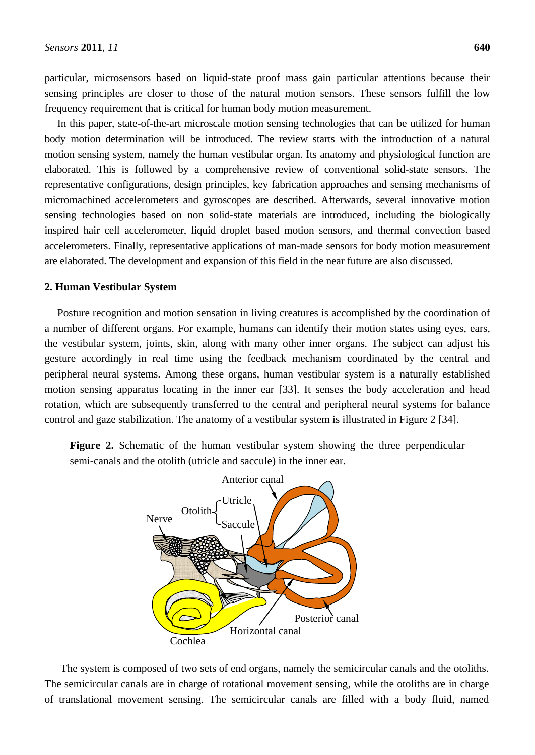particular, microsensors based on liquid-state proof mass gain particular attentions because their sensing principles are closer to those of the natural motion sensors. These sensors fulfill the low frequency requirement that is critical for human body motion measurement.

In this paper, state-of-the-art microscale motion sensing technologies that can be utilized for human body motion determination will be introduced. The review starts with the introduction of a natural motion sensing system, namely the human vestibular organ. Its anatomy and physiological function are elaborated. This is followed by a comprehensive review of conventional solid-state sensors. The representative configurations, design principles, key fabrication approaches and sensing mechanisms of micromachined accelerometers and gyroscopes are described. Afterwards, several innovative motion sensing technologies based on non solid-state materials are introduced, including the biologically inspired hair cell accelerometer, liquid droplet based motion sensors, and thermal convection based accelerometers. Finally, representative applications of man-made sensors for body motion measurement are elaborated. The development and expansion of this field in the near future are also discussed.

#### **2. Human Vestibular System**

Posture recognition and motion sensation in living creatures is accomplished by the coordination of a number of different organs. For example, humans can identify their motion states using eyes, ears, the vestibular system, joints, skin, along with many other inner organs. The subject can adjust his gesture accordingly in real time using the feedback mechanism coordinated by the central and peripheral neural systems. Among these organs, human vestibular system is a naturally established motion sensing apparatus locating in the inner ear [33]. It senses the body acceleration and head rotation, which are subsequently transferred to the central and peripheral neural systems for balance control and gaze stabilization. The anatomy of a vestibular system is illustrated in Figure 2 [34].





The system is composed of two sets of end organs, namely the semicircular canals and the otoliths. The semicircular canals are in charge of rotational movement sensing, while the otoliths are in charge of translational movement sensing. The semicircular canals are filled with a body fluid, named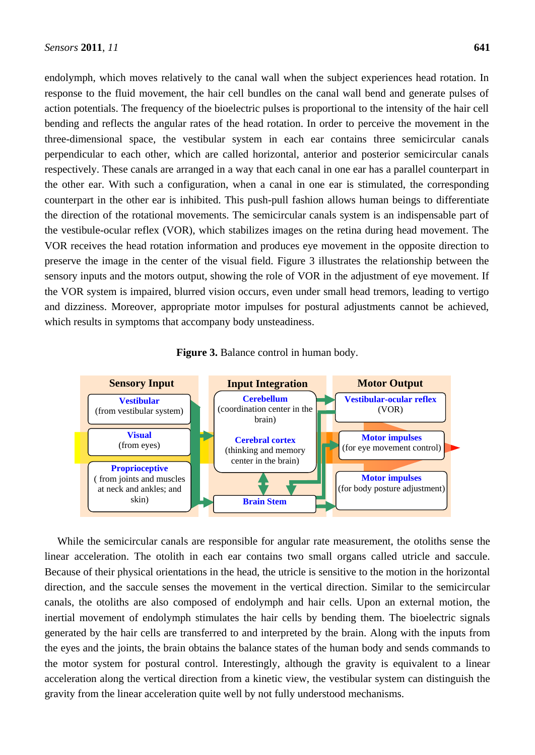endolymph, which moves relatively to the canal wall when the subject experiences head rotation. In response to the fluid movement, the hair cell bundles on the canal wall bend and generate pulses of action potentials. The frequency of the bioelectric pulses is proportional to the intensity of the hair cell bending and reflects the angular rates of the head rotation. In order to perceive the movement in the three-dimensional space, the vestibular system in each ear contains three semicircular canals perpendicular to each other, which are called horizontal, anterior and posterior semicircular canals respectively. These canals are arranged in a way that each canal in one ear has a parallel counterpart in the other ear. With such a configuration, when a canal in one ear is stimulated, the corresponding counterpart in the other ear is inhibited. This push-pull fashion allows human beings to differentiate the direction of the rotational movements. The semicircular canals system is an indispensable part of the vestibule-ocular reflex (VOR), which stabilizes images on the retina during head movement. The VOR receives the head rotation information and produces eye movement in the opposite direction to preserve the image in the center of the visual field. Figure 3 illustrates the relationship between the sensory inputs and the motors output, showing the role of VOR in the adjustment of eye movement. If the VOR system is impaired, blurred vision occurs, even under small head tremors, leading to vertigo and dizziness. Moreover, appropriate motor impulses for postural adjustments cannot be achieved, which results in symptoms that accompany body unsteadiness.





While the semicircular canals are responsible for angular rate measurement, the otoliths sense the linear acceleration. The otolith in each ear contains two small organs called utricle and saccule. Because of their physical orientations in the head, the utricle is sensitive to the motion in the horizontal direction, and the saccule senses the movement in the vertical direction. Similar to the semicircular canals, the otoliths are also composed of endolymph and hair cells. Upon an external motion, the inertial movement of endolymph stimulates the hair cells by bending them. The bioelectric signals generated by the hair cells are transferred to and interpreted by the brain. Along with the inputs from the eyes and the joints, the brain obtains the balance states of the human body and sends commands to the motor system for postural control. Interestingly, although the gravity is equivalent to a linear acceleration along the vertical direction from a kinetic view, the vestibular system can distinguish the gravity from the linear acceleration quite well by not fully understood mechanisms.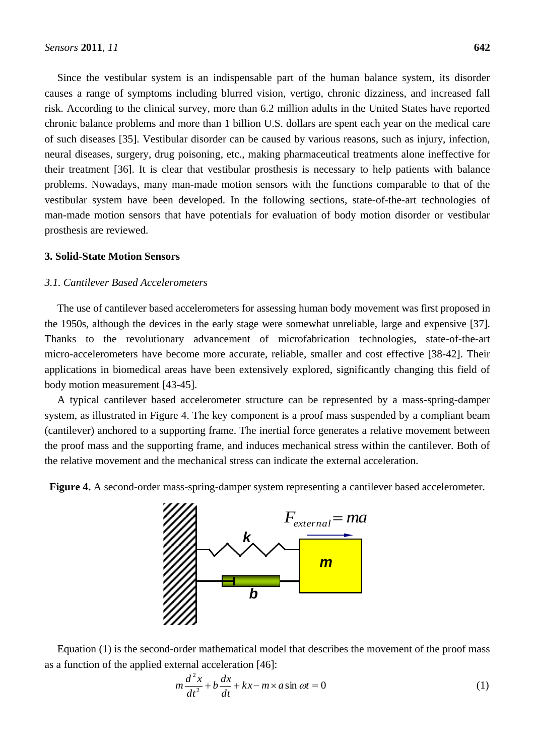Since the vestibular system is an indispensable part of the human balance system, its disorder causes a range of symptoms including blurred vision, vertigo, chronic dizziness, and increased fall risk. According to the clinical survey, more than 6.2 million adults in the United States have reported chronic balance problems and more than 1 billion U.S. dollars are spent each year on the medical care of such diseases [35]. Vestibular disorder can be caused by various reasons, such as injury, infection, neural diseases, surgery, drug poisoning, etc., making pharmaceutical treatments alone ineffective for their treatment [36]. It is clear that vestibular prosthesis is necessary to help patients with balance problems. Nowadays, many man-made motion sensors with the functions comparable to that of the vestibular system have been developed. In the following sections, state-of-the-art technologies of man-made motion sensors that have potentials for evaluation of body motion disorder or vestibular prosthesis are reviewed.

#### **3. Solid-State Motion Sensors**

#### *3.1. Cantilever Based Accelerometers*

The use of cantilever based accelerometers for assessing human body movement was first proposed in the 1950s, although the devices in the early stage were somewhat unreliable, large and expensive [37]. Thanks to the revolutionary advancement of microfabrication technologies, state-of-the-art micro-accelerometers have become more accurate, reliable, smaller and cost effective [38-42]. Their applications in biomedical areas have been extensively explored, significantly changing this field of body motion measurement [43-45].

A typical cantilever based accelerometer structure can be represented by a mass-spring-damper system, as illustrated in Figure 4. The key component is a proof mass suspended by a compliant beam (cantilever) anchored to a supporting frame. The inertial force generates a relative movement between the proof mass and the supporting frame, and induces mechanical stress within the cantilever. Both of the relative movement and the mechanical stress can indicate the external acceleration.

**Figure 4.** A second-order mass-spring-damper system representing a cantilever based accelerometer.



Equation (1) is the second-order mathematical model that describes the movement of the proof mass as a function of the applied external acceleration [46]:

$$
m\frac{d^2x}{dt^2} + b\frac{dx}{dt} + kx - m \times a\sin \omega t = 0
$$
 (1)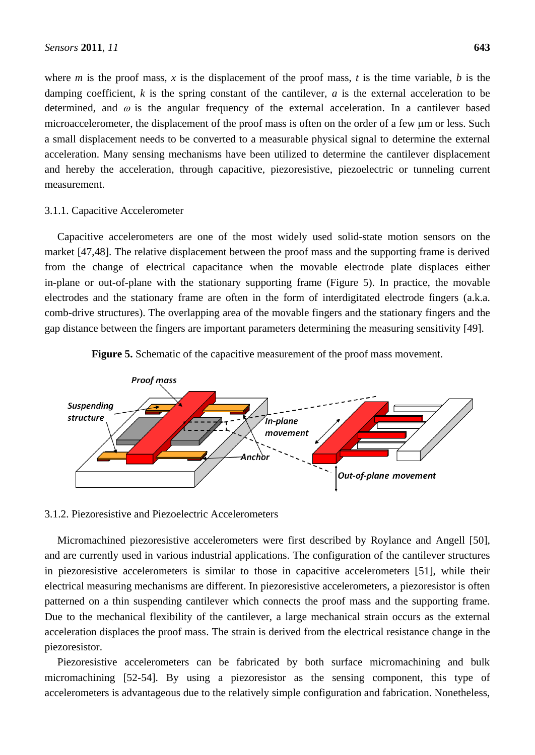where *m* is the proof mass, *x* is the displacement of the proof mass, *t* is the time variable, *b* is the damping coefficient, *k* is the spring constant of the cantilever, *a* is the external acceleration to be determined, and  $\omega$  is the angular frequency of the external acceleration. In a cantilever based microaccelerometer, the displacement of the proof mass is often on the order of a few µm or less. Such a small displacement needs to be converted to a measurable physical signal to determine the external acceleration. Many sensing mechanisms have been utilized to determine the cantilever displacement and hereby the acceleration, through capacitive, piezoresistive, piezoelectric or tunneling current measurement.

# 3.1.1. Capacitive Accelerometer

Capacitive accelerometers are one of the most widely used solid-state motion sensors on the market [47,48]. The relative displacement between the proof mass and the supporting frame is derived from the change of electrical capacitance when the movable electrode plate displaces either in-plane or out-of-plane with the stationary supporting frame (Figure 5). In practice, the movable electrodes and the stationary frame are often in the form of interdigitated electrode fingers (a.k.a. comb-drive structures). The overlapping area of the movable fingers and the stationary fingers and the gap distance between the fingers are important parameters determining the measuring sensitivity [49].



**Figure 5.** Schematic of the capacitive measurement of the proof mass movement.

3.1.2. Piezoresistive and Piezoelectric Accelerometers

Micromachined piezoresistive accelerometers were first described by Roylance and Angell [50], and are currently used in various industrial applications. The configuration of the cantilever structures in piezoresistive accelerometers is similar to those in capacitive accelerometers [51], while their electrical measuring mechanisms are different. In piezoresistive accelerometers, a piezoresistor is often patterned on a thin suspending cantilever which connects the proof mass and the supporting frame. Due to the mechanical flexibility of the cantilever, a large mechanical strain occurs as the external acceleration displaces the proof mass. The strain is derived from the electrical resistance change in the piezoresistor.

Piezoresistive accelerometers can be fabricated by both surface micromachining and bulk micromachining [52-54]. By using a piezoresistor as the sensing component, this type of accelerometers is advantageous due to the relatively simple configuration and fabrication. Nonetheless,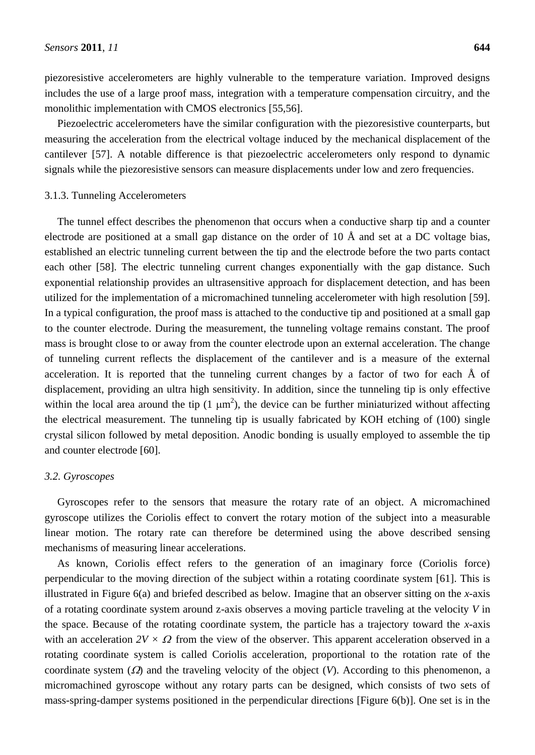piezoresistive accelerometers are highly vulnerable to the temperature variation. Improved designs includes the use of a large proof mass, integration with a temperature compensation circuitry, and the monolithic implementation with CMOS electronics [55,56].

Piezoelectric accelerometers have the similar configuration with the piezoresistive counterparts, but measuring the acceleration from the electrical voltage induced by the mechanical displacement of the cantilever [57]. A notable difference is that piezoelectric accelerometers only respond to dynamic signals while the piezoresistive sensors can measure displacements under low and zero frequencies.

#### 3.1.3. Tunneling Accelerometers

The tunnel effect describes the phenomenon that occurs when a conductive sharp tip and a counter electrode are positioned at a small gap distance on the order of 10 Å and set at a DC voltage bias, established an electric tunneling current between the tip and the electrode before the two parts contact each other [58]. The electric tunneling current changes exponentially with the gap distance. Such exponential relationship provides an ultrasensitive approach for displacement detection, and has been utilized for the implementation of a micromachined tunneling accelerometer with high resolution [59]. In a typical configuration, the proof mass is attached to the conductive tip and positioned at a small gap to the counter electrode. During the measurement, the tunneling voltage remains constant. The proof mass is brought close to or away from the counter electrode upon an external acceleration. The change of tunneling current reflects the displacement of the cantilever and is a measure of the external acceleration. It is reported that the tunneling current changes by a factor of two for each Å of displacement, providing an ultra high sensitivity. In addition, since the tunneling tip is only effective within the local area around the tip  $(1 \mu m^2)$ , the device can be further miniaturized without affecting the electrical measurement. The tunneling tip is usually fabricated by KOH etching of (100) single crystal silicon followed by metal deposition. Anodic bonding is usually employed to assemble the tip and counter electrode [60].

#### *3.2. Gyroscopes*

Gyroscopes refer to the sensors that measure the rotary rate of an object. A micromachined gyroscope utilizes the Coriolis effect to convert the rotary motion of the subject into a measurable linear motion. The rotary rate can therefore be determined using the above described sensing mechanisms of measuring linear accelerations.

As known, Coriolis effect refers to the generation of an imaginary force (Coriolis force) perpendicular to the moving direction of the subject within a rotating coordinate system [61]. This is illustrated in Figure 6(a) and briefed described as below. Imagine that an observer sitting on the *x*-axis of a rotating coordinate system around z-axis observes a moving particle traveling at the velocity *V* in the space. Because of the rotating coordinate system, the particle has a trajectory toward the *x*-axis with an acceleration  $2V \times \Omega$  from the view of the observer. This apparent acceleration observed in a rotating coordinate system is called Coriolis acceleration, proportional to the rotation rate of the coordinate system  $(\Omega)$  and the traveling velocity of the object  $(V)$ . According to this phenomenon, a micromachined gyroscope without any rotary parts can be designed, which consists of two sets of mass-spring-damper systems positioned in the perpendicular directions [Figure 6(b)]. One set is in the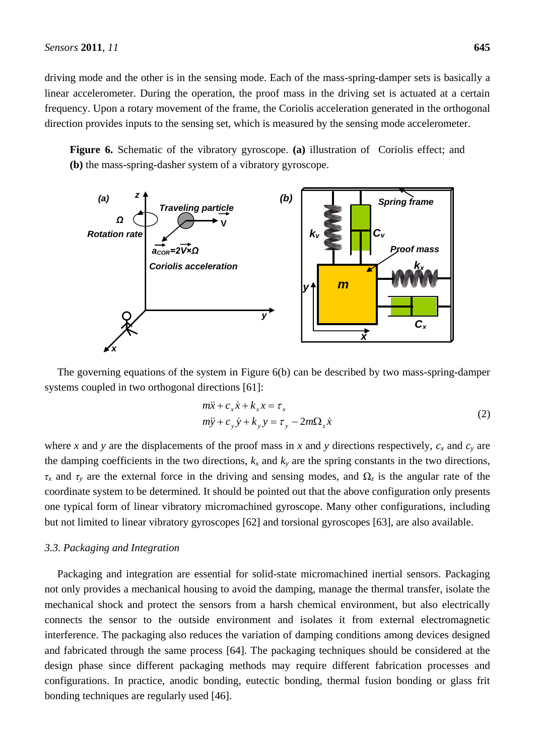driving mode and the other is in the sensing mode. Each of the mass-spring-damper sets is basically a linear accelerometer. During the operation, the proof mass in the driving set is actuated at a certain frequency. Upon a rotary movement of the frame, the Coriolis acceleration generated in the orthogonal direction provides inputs to the sensing set, which is measured by the sensing mode accelerometer.

**Figure 6.** Schematic of the vibratory gyroscope. **(a)** illustration of Coriolis effect; and **(b)** the mass-spring-dasher system of a vibratory gyroscope.



The governing equations of the system in Figure 6(b) can be described by two mass-spring-damper systems coupled in two orthogonal directions [61]:

$$
m\ddot{x} + c_x \dot{x} + k_x x = \tau_x
$$
  
\n
$$
m\ddot{y} + c_y \dot{y} + k_y y = \tau_y - 2m\Omega_z \dot{x}
$$
\n(2)

where *x* and *y* are the displacements of the proof mass in *x* and *y* directions respectively,  $c_x$  and  $c_y$  are the damping coefficients in the two directions,  $k_x$  and  $k_y$  are the spring constants in the two directions,  $\tau_x$  and  $\tau_y$  are the external force in the driving and sensing modes, and  $\Omega_z$  is the angular rate of the coordinate system to be determined. It should be pointed out that the above configuration only presents one typical form of linear vibratory micromachined gyroscope. Many other configurations, including but not limited to linear vibratory gyroscopes [62] and torsional gyroscopes [63], are also available.

#### *3.3. Packaging and Integration*

Packaging and integration are essential for solid-state micromachined inertial sensors. Packaging not only provides a mechanical housing to avoid the damping, manage the thermal transfer, isolate the mechanical shock and protect the sensors from a harsh chemical environment, but also electrically connects the sensor to the outside environment and isolates it from external electromagnetic interference. The packaging also reduces the variation of damping conditions among devices designed and fabricated through the same process [64]. The packaging techniques should be considered at the design phase since different packaging methods may require different fabrication processes and configurations. In practice, anodic bonding, eutectic bonding, thermal fusion bonding or glass frit bonding techniques are regularly used [46].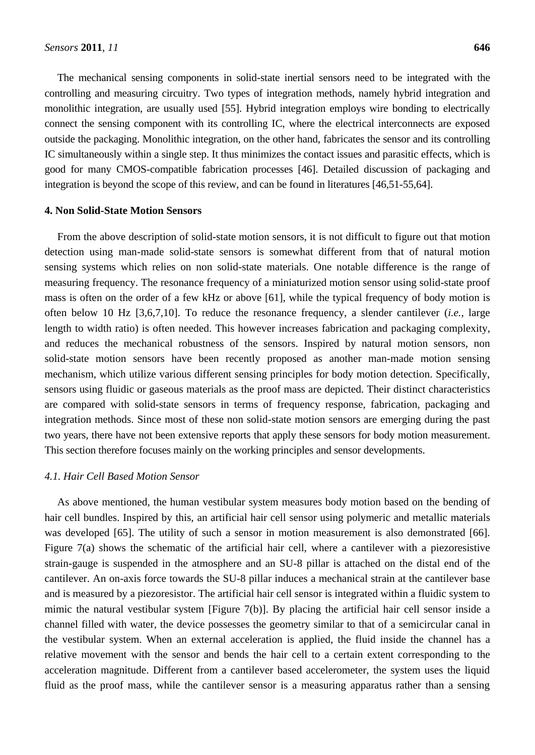The mechanical sensing components in solid-state inertial sensors need to be integrated with the controlling and measuring circuitry. Two types of integration methods, namely hybrid integration and monolithic integration, are usually used [55]. Hybrid integration employs wire bonding to electrically connect the sensing component with its controlling IC, where the electrical interconnects are exposed outside the packaging. Monolithic integration, on the other hand, fabricates the sensor and its controlling IC simultaneously within a single step. It thus minimizes the contact issues and parasitic effects, which is good for many CMOS-compatible fabrication processes [46]. Detailed discussion of packaging and integration is beyond the scope of this review, and can be found in literatures [46,51-55,64].

# **4. Non Solid-State Motion Sensors**

From the above description of solid-state motion sensors, it is not difficult to figure out that motion detection using man-made solid-state sensors is somewhat different from that of natural motion sensing systems which relies on non solid-state materials. One notable difference is the range of measuring frequency. The resonance frequency of a miniaturized motion sensor using solid-state proof mass is often on the order of a few kHz or above [61], while the typical frequency of body motion is often below 10 Hz [3,6,7,10]. To reduce the resonance frequency, a slender cantilever (*i.e.*, large length to width ratio) is often needed. This however increases fabrication and packaging complexity, and reduces the mechanical robustness of the sensors. Inspired by natural motion sensors, non solid-state motion sensors have been recently proposed as another man-made motion sensing mechanism, which utilize various different sensing principles for body motion detection. Specifically, sensors using fluidic or gaseous materials as the proof mass are depicted. Their distinct characteristics are compared with solid-state sensors in terms of frequency response, fabrication, packaging and integration methods. Since most of these non solid-state motion sensors are emerging during the past two years, there have not been extensive reports that apply these sensors for body motion measurement. This section therefore focuses mainly on the working principles and sensor developments.

# *4.1. Hair Cell Based Motion Sensor*

As above mentioned, the human vestibular system measures body motion based on the bending of hair cell bundles. Inspired by this, an artificial hair cell sensor using polymeric and metallic materials was developed [65]. The utility of such a sensor in motion measurement is also demonstrated [66]. Figure 7(a) shows the schematic of the artificial hair cell, where a cantilever with a piezoresistive strain-gauge is suspended in the atmosphere and an SU-8 pillar is attached on the distal end of the cantilever. An on-axis force towards the SU-8 pillar induces a mechanical strain at the cantilever base and is measured by a piezoresistor. The artificial hair cell sensor is integrated within a fluidic system to mimic the natural vestibular system [Figure 7(b)]. By placing the artificial hair cell sensor inside a channel filled with water, the device possesses the geometry similar to that of a semicircular canal in the vestibular system. When an external acceleration is applied, the fluid inside the channel has a relative movement with the sensor and bends the hair cell to a certain extent corresponding to the acceleration magnitude. Different from a cantilever based accelerometer, the system uses the liquid fluid as the proof mass, while the cantilever sensor is a measuring apparatus rather than a sensing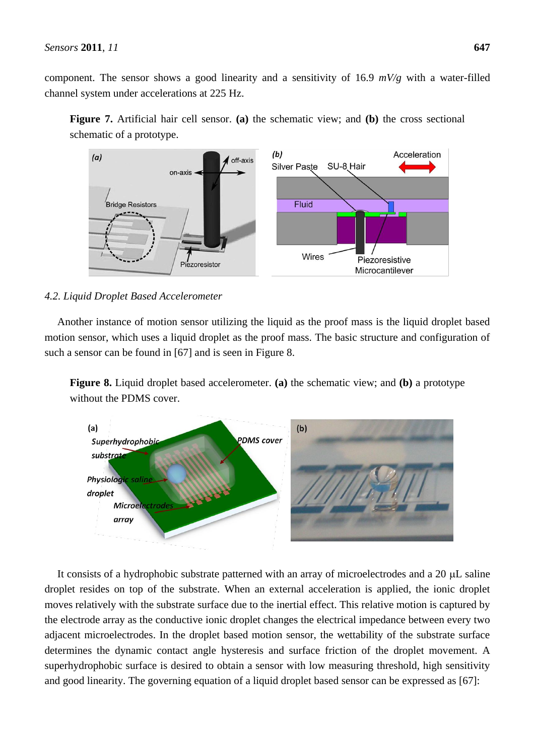component. The sensor shows a good linearity and a sensitivity of 16.9 *mV/g* with a water-filled channel system under accelerations at 225 Hz.





# *4.2. Liquid Droplet Based Accelerometer*

Another instance of motion sensor utilizing the liquid as the proof mass is the liquid droplet based motion sensor, which uses a liquid droplet as the proof mass. The basic structure and configuration of such a sensor can be found in [67] and is seen in Figure 8.

**Figure 8.** Liquid droplet based accelerometer. **(a)** the schematic view; and **(b)** a prototype without the PDMS cover.



It consists of a hydrophobic substrate patterned with an array of microelectrodes and a  $20 \mu L$  saline droplet resides on top of the substrate. When an external acceleration is applied, the ionic droplet moves relatively with the substrate surface due to the inertial effect. This relative motion is captured by the electrode array as the conductive ionic droplet changes the electrical impedance between every two adjacent microelectrodes. In the droplet based motion sensor, the wettability of the substrate surface determines the dynamic contact angle hysteresis and surface friction of the droplet movement. A superhydrophobic surface is desired to obtain a sensor with low measuring threshold, high sensitivity and good linearity. The governing equation of a liquid droplet based sensor can be expressed as [67]: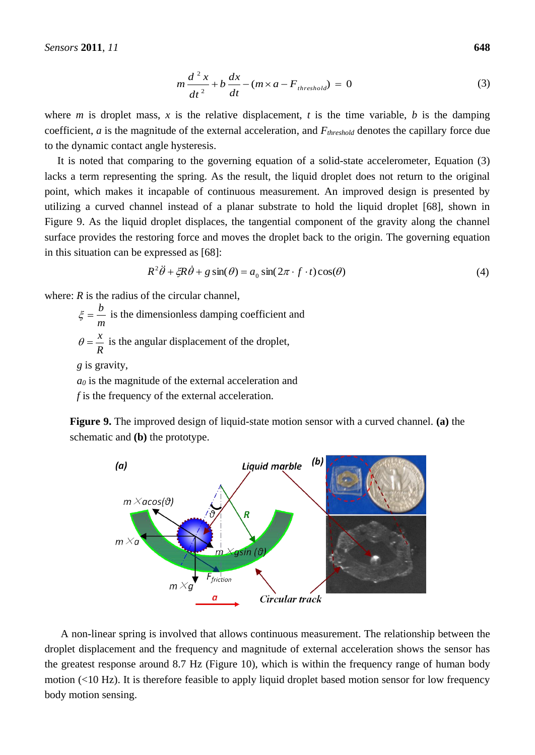$$
m\frac{d^2x}{dt^2} + b\frac{dx}{dt} - (m \times a - F_{threshold}) = 0
$$
 (3)

where *m* is droplet mass, *x* is the relative displacement, *t* is the time variable, *b* is the damping coefficient, *a* is the magnitude of the external acceleration, and *Fthreshold* denotes the capillary force due to the dynamic contact angle hysteresis.

It is noted that comparing to the governing equation of a solid-state accelerometer, Equation (3) lacks a term representing the spring. As the result, the liquid droplet does not return to the original point, which makes it incapable of continuous measurement. An improved design is presented by utilizing a curved channel instead of a planar substrate to hold the liquid droplet [68], shown in Figure 9. As the liquid droplet displaces, the tangential component of the gravity along the channel surface provides the restoring force and moves the droplet back to the origin. The governing equation in this situation can be expressed as [68]:

$$
R^{2}\ddot{\theta} + \xi R \dot{\theta} + g \sin(\theta) = a_{0} \sin(2\pi \cdot f \cdot t) \cos(\theta)
$$
 (4)

where: *R* is the radius of the circular channel,

*m*  $\xi = \frac{b}{n}$  is the dimensionless damping coefficient and *R*  $\theta = \frac{x}{x}$  is the angular displacement of the droplet, *g* is gravity, *a<sup>0</sup>* is the magnitude of the external acceleration and *f* is the frequency of the external acceleration.

**Figure 9.** The improved design of liquid-state motion sensor with a curved channel. **(a)** the schematic and **(b)** the prototype.



A non-linear spring is involved that allows continuous measurement. The relationship between the droplet displacement and the frequency and magnitude of external acceleration shows the sensor has the greatest response around 8.7 Hz (Figure 10), which is within the frequency range of human body motion (<10 Hz). It is therefore feasible to apply liquid droplet based motion sensor for low frequency body motion sensing.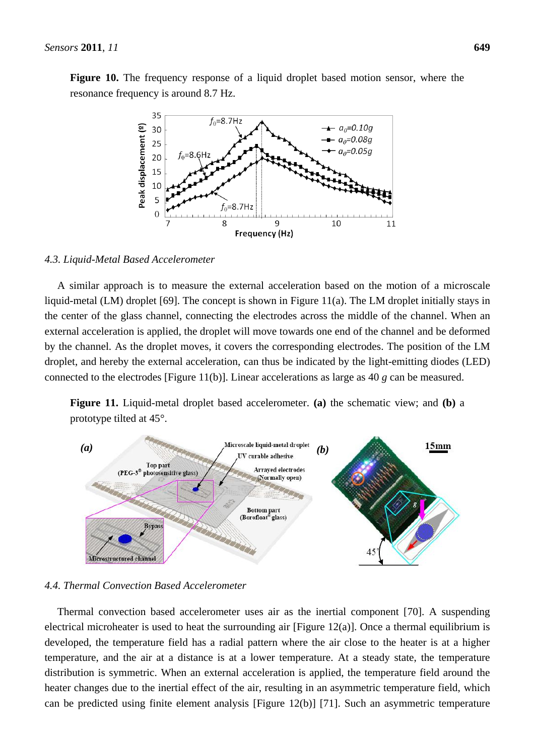**Figure 10.** The frequency response of a liquid droplet based motion sensor, where the resonance frequency is around 8.7 Hz.



# *4.3. Liquid-Metal Based Accelerometer*

A similar approach is to measure the external acceleration based on the motion of a microscale liquid-metal (LM) droplet [69]. The concept is shown in Figure 11(a). The LM droplet initially stays in the center of the glass channel, connecting the electrodes across the middle of the channel. When an external acceleration is applied, the droplet will move towards one end of the channel and be deformed by the channel. As the droplet moves, it covers the corresponding electrodes. The position of the LM droplet, and hereby the external acceleration, can thus be indicated by the light-emitting diodes (LED) connected to the electrodes [Figure 11(b)]. Linear accelerations as large as 40 *g* can be measured.

**Figure 11.** Liquid-metal droplet based accelerometer. **(a)** the schematic view; and **(b)** a prototype tilted at 45°.



# *4.4. Thermal Convection Based Accelerometer*

Thermal convection based accelerometer uses air as the inertial component [70]. A suspending electrical microheater is used to heat the surrounding air [Figure 12(a)]. Once a thermal equilibrium is developed, the temperature field has a radial pattern where the air close to the heater is at a higher temperature, and the air at a distance is at a lower temperature. At a steady state, the temperature distribution is symmetric. When an external acceleration is applied, the temperature field around the heater changes due to the inertial effect of the air, resulting in an asymmetric temperature field, which can be predicted using finite element analysis [Figure 12(b)] [71]. Such an asymmetric temperature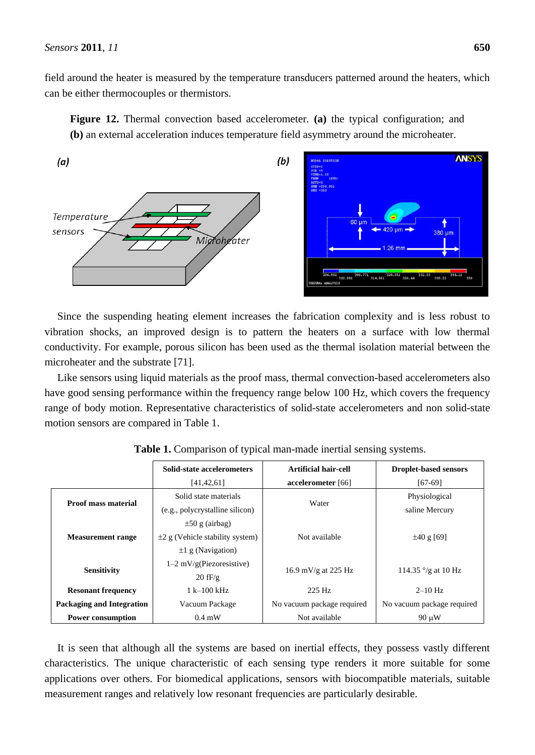field around the heater is measured by the temperature transducers patterned around the heaters, which can be either thermocouples or thermistors.

**Figure 12.** Thermal convection based accelerometer. **(a)** the typical configuration; and **(b)** an external acceleration induces temperature field asymmetry around the microheater.



Since the suspending heating element increases the fabrication complexity and is less robust to vibration shocks, an improved design is to pattern the heaters on a surface with low thermal conductivity. For example, porous silicon has been used as the thermal isolation material between the microheater and the substrate [71].

Like sensors using liquid materials as the proof mass, thermal convection-based accelerometers also have good sensing performance within the frequency range below 100 Hz, which covers the frequency range of body motion. Representative characteristics of solid-state accelerometers and non solid-state motion sensors are compared in Table 1.

|                                  | Solid-state accelerometers           | Artificial hair-cell       | <b>Droplet-based sensors</b> |
|----------------------------------|--------------------------------------|----------------------------|------------------------------|
|                                  | [41, 42, 61]                         | accelerometer [66]         | $[67-69]$                    |
| <b>Proof mass material</b>       | Solid state materials                | Water                      | Physiological                |
|                                  | (e.g., polycrystalline silicon)      |                            | saline Mercury               |
|                                  | $\pm 50$ g (airbag)                  |                            |                              |
| <b>Measurement range</b>         | $\pm 2$ g (Vehicle stability system) | Not available              | $\pm 40$ g [69]              |
|                                  | $\pm 1$ g (Navigation)               |                            |                              |
| <b>Sensitivity</b>               | $1-2$ mV/g(Piezoresistive)           | 16.9 mV/g at 225 Hz        | 114.35 $\%$ at 10 Hz         |
|                                  | $20$ fF/g                            |                            |                              |
| <b>Resonant frequency</b>        | $1 k-100 kHz$                        | $225$ Hz                   | $2 - 10$ Hz                  |
| <b>Packaging and Integration</b> | Vacuum Package                       | No vacuum package required | No vacuum package required   |
| <b>Power consumption</b>         | $0.4 \text{ mW}$                     | Not available              | $90 \mu W$                   |

**Table 1.** Comparison of typical man-made inertial sensing systems.

It is seen that although all the systems are based on inertial effects, they possess vastly different characteristics. The unique characteristic of each sensing type renders it more suitable for some applications over others. For biomedical applications, sensors with biocompatible materials, suitable measurement ranges and relatively low resonant frequencies are particularly desirable.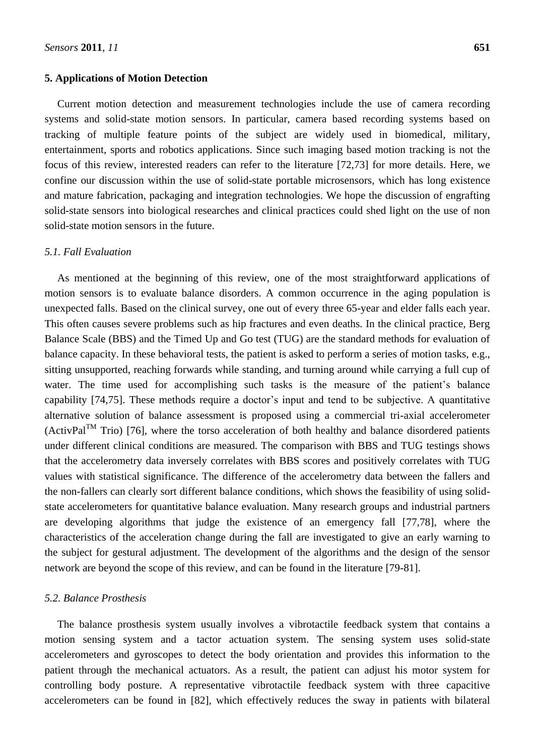#### **5. Applications of Motion Detection**

Current motion detection and measurement technologies include the use of camera recording systems and solid-state motion sensors. In particular, camera based recording systems based on tracking of multiple feature points of the subject are widely used in biomedical, military, entertainment, sports and robotics applications. Since such imaging based motion tracking is not the focus of this review, interested readers can refer to the literature [72,73] for more details. Here, we confine our discussion within the use of solid-state portable microsensors, which has long existence and mature fabrication, packaging and integration technologies. We hope the discussion of engrafting solid-state sensors into biological researches and clinical practices could shed light on the use of non solid-state motion sensors in the future.

# *5.1. Fall Evaluation*

As mentioned at the beginning of this review, one of the most straightforward applications of motion sensors is to evaluate balance disorders. A common occurrence in the aging population is unexpected falls. Based on the clinical survey, one out of every three 65-year and elder falls each year. This often causes severe problems such as hip fractures and even deaths. In the clinical practice, Berg Balance Scale (BBS) and the Timed Up and Go test (TUG) are the standard methods for evaluation of balance capacity. In these behavioral tests, the patient is asked to perform a series of motion tasks, e.g., sitting unsupported, reaching forwards while standing, and turning around while carrying a full cup of water. The time used for accomplishing such tasks is the measure of the patient's balance capability [74,75]. These methods require a doctor's input and tend to be subjective. A quantitative alternative solution of balance assessment is proposed using a commercial tri-axial accelerometer  $(ActivityPal<sup>TM</sup> Trio)$  [76], where the torso acceleration of both healthy and balance disordered patients under different clinical conditions are measured. The comparison with BBS and TUG testings shows that the accelerometry data inversely correlates with BBS scores and positively correlates with TUG values with statistical significance. The difference of the accelerometry data between the fallers and the non-fallers can clearly sort different balance conditions, which shows the feasibility of using solidstate accelerometers for quantitative balance evaluation. Many research groups and industrial partners are developing algorithms that judge the existence of an emergency fall [77,78], where the characteristics of the acceleration change during the fall are investigated to give an early warning to the subject for gestural adjustment. The development of the algorithms and the design of the sensor network are beyond the scope of this review, and can be found in the literature [79-81].

#### *5.2. Balance Prosthesis*

The balance prosthesis system usually involves a vibrotactile feedback system that contains a motion sensing system and a tactor actuation system. The sensing system uses solid-state accelerometers and gyroscopes to detect the body orientation and provides this information to the patient through the mechanical actuators. As a result, the patient can adjust his motor system for controlling body posture. A representative vibrotactile feedback system with three capacitive accelerometers can be found in [82], which effectively reduces the sway in patients with bilateral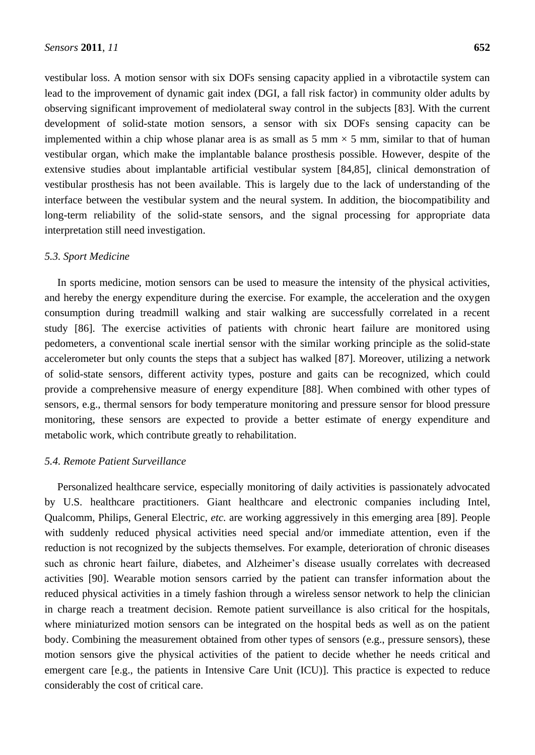vestibular loss. A motion sensor with six DOFs sensing capacity applied in a vibrotactile system can lead to the improvement of dynamic gait index (DGI, a fall risk factor) in community older adults by observing significant improvement of mediolateral sway control in the subjects [83]. With the current development of solid-state motion sensors, a sensor with six DOFs sensing capacity can be implemented within a chip whose planar area is as small as 5 mm  $\times$  5 mm, similar to that of human vestibular organ, which make the implantable balance prosthesis possible. However, despite of the extensive studies about implantable artificial vestibular system [84,85], clinical demonstration of vestibular prosthesis has not been available. This is largely due to the lack of understanding of the interface between the vestibular system and the neural system. In addition, the biocompatibility and long-term reliability of the solid-state sensors, and the signal processing for appropriate data interpretation still need investigation.

#### *5.3. Sport Medicine*

In sports medicine, motion sensors can be used to measure the intensity of the physical activities, and hereby the energy expenditure during the exercise. For example, the acceleration and the oxygen consumption during treadmill walking and stair walking are successfully correlated in a recent study [86]. The exercise activities of patients with chronic heart failure are monitored using pedometers, a conventional scale inertial sensor with the similar working principle as the solid-state accelerometer but only counts the steps that a subject has walked [87]. Moreover, utilizing a network of solid-state sensors, different activity types, posture and gaits can be recognized, which could provide a comprehensive measure of energy expenditure [88]. When combined with other types of sensors, e.g., thermal sensors for body temperature monitoring and pressure sensor for blood pressure monitoring, these sensors are expected to provide a better estimate of energy expenditure and metabolic work, which contribute greatly to rehabilitation.

#### *5.4. Remote Patient Surveillance*

Personalized healthcare service, especially monitoring of daily activities is passionately advocated by U.S. healthcare practitioners. Giant healthcare and electronic companies including Intel, Qualcomm, Philips, General Electric, *etc.* are working aggressively in this emerging area [89]. People with suddenly reduced physical activities need special and/or immediate attention, even if the reduction is not recognized by the subjects themselves. For example, deterioration of chronic diseases such as chronic heart failure, diabetes, and Alzheimer's disease usually correlates with decreased activities [90]. Wearable motion sensors carried by the patient can transfer information about the reduced physical activities in a timely fashion through a wireless sensor network to help the clinician in charge reach a treatment decision. Remote patient surveillance is also critical for the hospitals, where miniaturized motion sensors can be integrated on the hospital beds as well as on the patient body. Combining the measurement obtained from other types of sensors (e.g., pressure sensors), these motion sensors give the physical activities of the patient to decide whether he needs critical and emergent care [e.g., the patients in Intensive Care Unit (ICU)]. This practice is expected to reduce considerably the cost of critical care.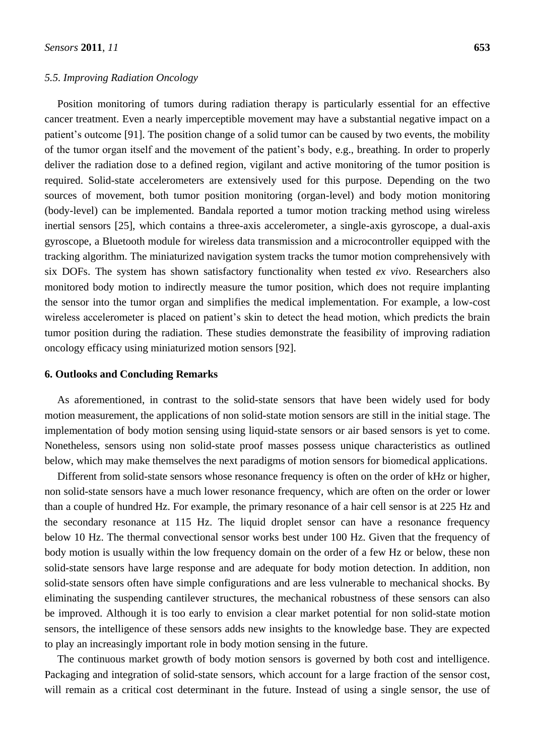#### *5.5. Improving Radiation Oncology*

Position monitoring of tumors during radiation therapy is particularly essential for an effective cancer treatment. Even a nearly imperceptible movement may have a substantial negative impact on a patient's outcome [91]. The position change of a solid tumor can be caused by two events, the mobility of the tumor organ itself and the movement of the patient's body, e.g., breathing. In order to properly deliver the radiation dose to a defined region, vigilant and active monitoring of the tumor position is required. Solid-state accelerometers are extensively used for this purpose. Depending on the two sources of movement, both tumor position monitoring (organ-level) and body motion monitoring (body-level) can be implemented. Bandala reported a tumor motion tracking method using wireless inertial sensors [25], which contains a three-axis accelerometer, a single-axis gyroscope, a dual-axis gyroscope, a Bluetooth module for wireless data transmission and a microcontroller equipped with the tracking algorithm. The miniaturized navigation system tracks the tumor motion comprehensively with six DOFs. The system has shown satisfactory functionality when tested *ex vivo*. Researchers also monitored body motion to indirectly measure the tumor position, which does not require implanting the sensor into the tumor organ and simplifies the medical implementation. For example, a low-cost wireless accelerometer is placed on patient's skin to detect the head motion, which predicts the brain tumor position during the radiation. These studies demonstrate the feasibility of improving radiation oncology efficacy using miniaturized motion sensors [92].

# **6. Outlooks and Concluding Remarks**

As aforementioned, in contrast to the solid-state sensors that have been widely used for body motion measurement, the applications of non solid-state motion sensors are still in the initial stage. The implementation of body motion sensing using liquid-state sensors or air based sensors is yet to come. Nonetheless, sensors using non solid-state proof masses possess unique characteristics as outlined below, which may make themselves the next paradigms of motion sensors for biomedical applications.

Different from solid-state sensors whose resonance frequency is often on the order of kHz or higher, non solid-state sensors have a much lower resonance frequency, which are often on the order or lower than a couple of hundred Hz. For example, the primary resonance of a hair cell sensor is at 225 Hz and the secondary resonance at 115 Hz. The liquid droplet sensor can have a resonance frequency below 10 Hz. The thermal convectional sensor works best under 100 Hz. Given that the frequency of body motion is usually within the low frequency domain on the order of a few Hz or below, these non solid-state sensors have large response and are adequate for body motion detection. In addition, non solid-state sensors often have simple configurations and are less vulnerable to mechanical shocks. By eliminating the suspending cantilever structures, the mechanical robustness of these sensors can also be improved. Although it is too early to envision a clear market potential for non solid-state motion sensors, the intelligence of these sensors adds new insights to the knowledge base. They are expected to play an increasingly important role in body motion sensing in the future.

The continuous market growth of body motion sensors is governed by both cost and intelligence. Packaging and integration of solid-state sensors, which account for a large fraction of the sensor cost, will remain as a critical cost determinant in the future. Instead of using a single sensor, the use of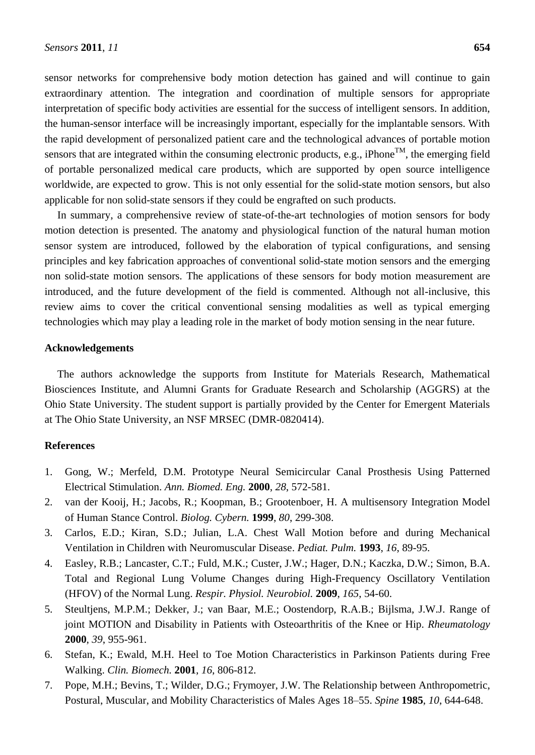sensor networks for comprehensive body motion detection has gained and will continue to gain extraordinary attention. The integration and coordination of multiple sensors for appropriate interpretation of specific body activities are essential for the success of intelligent sensors. In addition, the human-sensor interface will be increasingly important, especially for the implantable sensors. With the rapid development of personalized patient care and the technological advances of portable motion sensors that are integrated within the consuming electronic products, e.g., iPhone<sup>TM</sup>, the emerging field of portable personalized medical care products, which are supported by open source intelligence worldwide, are expected to grow. This is not only essential for the solid-state motion sensors, but also applicable for non solid-state sensors if they could be engrafted on such products.

In summary, a comprehensive review of state-of-the-art technologies of motion sensors for body motion detection is presented. The anatomy and physiological function of the natural human motion sensor system are introduced, followed by the elaboration of typical configurations, and sensing principles and key fabrication approaches of conventional solid-state motion sensors and the emerging non solid-state motion sensors. The applications of these sensors for body motion measurement are introduced, and the future development of the field is commented. Although not all-inclusive, this review aims to cover the critical conventional sensing modalities as well as typical emerging technologies which may play a leading role in the market of body motion sensing in the near future.

# **Acknowledgements**

The authors acknowledge the supports from Institute for Materials Research, Mathematical Biosciences Institute, and Alumni Grants for Graduate Research and Scholarship (AGGRS) at the Ohio State University. The student support is partially provided by the Center for Emergent Materials at The Ohio State University, an NSF MRSEC (DMR-0820414).

#### **References**

- 1. Gong, W.; Merfeld, D.M. Prototype Neural Semicircular Canal Prosthesis Using Patterned Electrical Stimulation. *Ann. Biomed. Eng.* **2000**, *28*, 572-581.
- 2. van der Kooij, H.; Jacobs, R.; Koopman, B.; Grootenboer, H. A multisensory Integration Model of Human Stance Control. *Biolog. Cybern.* **1999**, *80*, 299-308.
- 3. Carlos, E.D.; Kiran, S.D.; Julian, L.A. Chest Wall Motion before and during Mechanical Ventilation in Children with Neuromuscular Disease. *Pediat. Pulm.* **1993**, *16*, 89-95.
- 4. Easley, R.B.; Lancaster, C.T.; Fuld, M.K.; Custer, J.W.; Hager, D.N.; Kaczka, D.W.; Simon, B.A. Total and Regional Lung Volume Changes during High-Frequency Oscillatory Ventilation (HFOV) of the Normal Lung. *Respir. Physiol. Neurobiol.* **2009**, *165*, 54-60.
- 5. Steultjens, M.P.M.; Dekker, J.; van Baar, M.E.; Oostendorp, R.A.B.; Bijlsma, J.W.J. Range of joint MOTION and Disability in Patients with Osteoarthritis of the Knee or Hip. *Rheumatology* **2000**, *39*, 955-961.
- 6. Stefan, K.; Ewald, M.H. Heel to Toe Motion Characteristics in Parkinson Patients during Free Walking. *Clin. Biomech.* **2001**, *16*, 806-812.
- 7. Pope, M.H.; Bevins, T.; Wilder, D.G.; Frymoyer, J.W. The Relationship between Anthropometric, Postural, Muscular, and Mobility Characteristics of Males Ages 18–55. *Spine* **1985**, *10*, 644-648.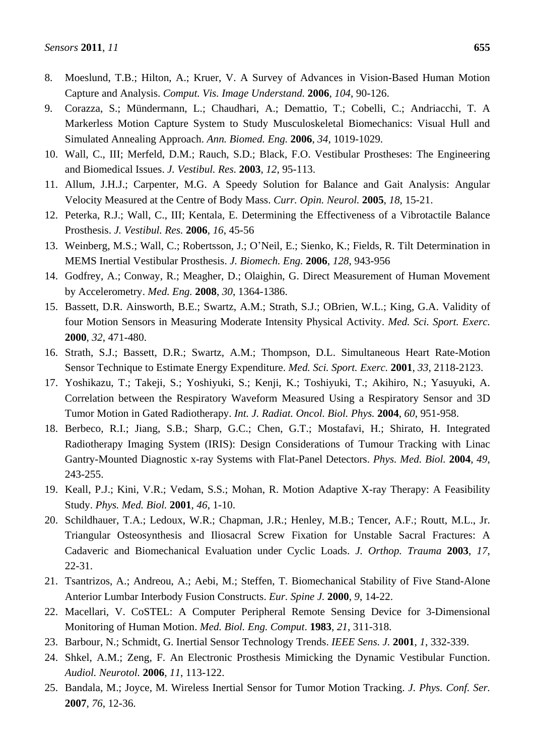- 8. Moeslund, T.B.; Hilton, A.; Kruer, V. A Survey of Advances in Vision-Based Human Motion Capture and Analysis. *Comput. Vis. Image Understand.* **2006**, *104*, 90-126.
- 9. Corazza, S.; Mündermann, L.; Chaudhari, A.; Demattio, T.; Cobelli, C.; Andriacchi, T. A Markerless Motion Capture System to Study Musculoskeletal Biomechanics: Visual Hull and Simulated Annealing Approach. *Ann. Biomed. Eng.* **2006**, *34*, 1019-1029.
- 10. Wall, C., III; Merfeld, D.M.; Rauch, S.D.; Black, F.O. Vestibular Prostheses: The Engineering and Biomedical Issues. *J. Vestibul. Res.* **2003**, *12*, 95-113.
- 11. Allum, J.H.J.; Carpenter, M.G. A Speedy Solution for Balance and Gait Analysis: Angular Velocity Measured at the Centre of Body Mass. *Curr. Opin. Neurol.* **2005**, *18*, 15-21.
- 12. Peterka, R.J.; Wall, C., III; Kentala, E. Determining the Effectiveness of a Vibrotactile Balance Prosthesis. *J. Vestibul. Res.* **2006**, *16*, 45-56
- 13. Weinberg, M.S.; Wall, C.; Robertsson, J.; O'Neil, E.; Sienko, K.; Fields, R. Tilt Determination in MEMS Inertial Vestibular Prosthesis. *J. Biomech. Eng.* **2006**, *128*, 943-956
- 14. Godfrey, A.; Conway, R.; Meagher, D.; Olaighin, G. Direct Measurement of Human Movement by Accelerometry. *Med. Eng.* **2008**, *30*, 1364-1386.
- 15. Bassett, D.R. Ainsworth, B.E.; Swartz, A.M.; Strath, S.J.; OBrien, W.L.; King, G.A. Validity of four Motion Sensors in Measuring Moderate Intensity Physical Activity. *Med. Sci. Sport. Exerc.* **2000**, *32*, 471-480.
- 16. Strath, S.J.; Bassett, D.R.; Swartz, A.M.; Thompson, D.L. Simultaneous Heart Rate-Motion Sensor Technique to Estimate Energy Expenditure. *Med. Sci. Sport. Exerc.* **2001**, *33*, 2118-2123.
- 17. Yoshikazu, T.; Takeji, S.; Yoshiyuki, S.; Kenji, K.; Toshiyuki, T.; Akihiro, N.; Yasuyuki, A. Correlation between the Respiratory Waveform Measured Using a Respiratory Sensor and 3D Tumor Motion in Gated Radiotherapy. *Int. J. Radiat. Oncol. Biol. Phys.* **2004**, *60*, 951-958.
- 18. Berbeco, R.I.; Jiang, S.B.; Sharp, G.C.; Chen, G.T.; Mostafavi, H.; Shirato, H. Integrated Radiotherapy Imaging System (IRIS): Design Considerations of Tumour Tracking with Linac Gantry-Mounted Diagnostic x-ray Systems with Flat-Panel Detectors. *Phys. Med. Biol.* **2004**, *49*, 243-255.
- 19. Keall, P.J.; Kini, V.R.; Vedam, S.S.; Mohan, R. Motion Adaptive X-ray Therapy: A Feasibility Study. *Phys. Med. Biol.* **2001**, *46*, 1-10.
- 20. Schildhauer, T.A.; Ledoux, W.R.; Chapman, J.R.; Henley, M.B.; Tencer, A.F.; Routt, M.L., Jr. Triangular Osteosynthesis and Iliosacral Screw Fixation for Unstable Sacral Fractures: A Cadaveric and Biomechanical Evaluation under Cyclic Loads. *J. Orthop. Trauma* **2003**, *17*, 22-31.
- 21. Tsantrizos, A.; Andreou, A.; Aebi, M.; Steffen, T. Biomechanical Stability of Five Stand-Alone Anterior Lumbar Interbody Fusion Constructs. *Eur. Spine J.* **2000**, *9*, 14-22.
- 22. Macellari, V. CoSTEL: A Computer Peripheral Remote Sensing Device for 3-Dimensional Monitoring of Human Motion. *Med. Biol. Eng. Comput*. **1983**, *21*, 311-318.
- 23. Barbour, N.; Schmidt, G. Inertial Sensor Technology Trends. *IEEE Sens. J.* **2001**, *1*, 332-339.
- 24. Shkel, A.M.; Zeng, F. An Electronic Prosthesis Mimicking the Dynamic Vestibular Function. *Audiol. Neurotol.* **2006**, *11*, 113-122.
- 25. Bandala, M.; Joyce, M. Wireless Inertial Sensor for Tumor Motion Tracking. *J. Phys. Conf. Ser.* **2007**, *76*, 12-36.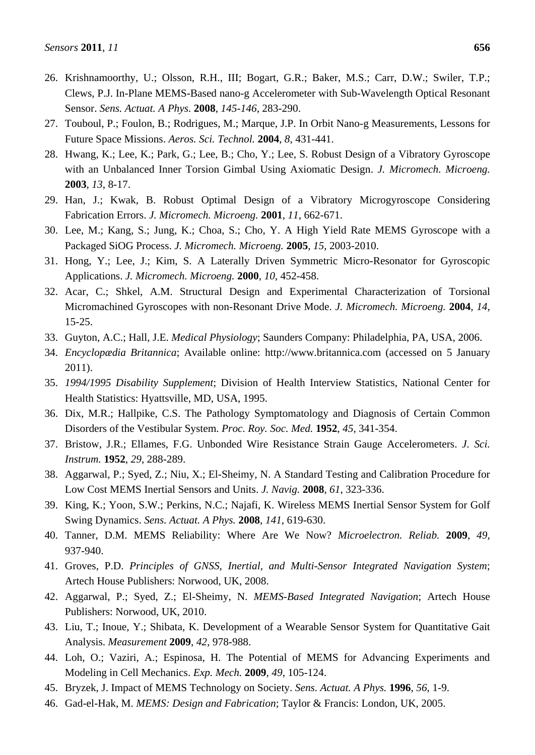- 26. Krishnamoorthy, U.; Olsson, R.H., III; Bogart, G.R.; Baker, M.S.; Carr, D.W.; Swiler, T.P.; Clews, P.J. In-Plane MEMS-Based nano-g Accelerometer with Sub-Wavelength Optical Resonant Sensor. *Sens. Actuat. A Phys.* **2008**, *145-146*, 283-290.
- 27. Touboul, P.; Foulon, B.; Rodrigues, M.; Marque, J.P. In Orbit Nano-g Measurements, Lessons for Future Space Missions. *Aeros. Sci. Technol.* **2004**, *8*, 431-441.
- 28. Hwang, K.; Lee, K.; Park, G.; Lee, B.; Cho, Y.; Lee, S. Robust Design of a Vibratory Gyroscope with an Unbalanced Inner Torsion Gimbal Using Axiomatic Design. *J. Micromech. Microeng.* **2003**, *13*, 8-17.
- 29. Han, J.; Kwak, B. Robust Optimal Design of a Vibratory Microgyroscope Considering Fabrication Errors. *J. Micromech. Microeng.* **2001**, *11*, 662-671.
- 30. Lee, M.; Kang, S.; Jung, K.; Choa, S.; Cho, Y. A High Yield Rate MEMS Gyroscope with a Packaged SiOG Process. *J. Micromech. Microeng.* **2005**, *15*, 2003-2010.
- 31. Hong, Y.; Lee, J.; Kim, S. A Laterally Driven Symmetric Micro-Resonator for Gyroscopic Applications. *J. Micromech. Microeng.* **2000**, *10*, 452-458.
- 32. Acar, C.; Shkel, A.M. Structural Design and Experimental Characterization of Torsional Micromachined Gyroscopes with non-Resonant Drive Mode. *J. Micromech. Microeng.* **2004**, *14*, 15-25.
- 33. Guyton, A.C.; Hall, J.E. *Medical Physiology*; Saunders Company: Philadelphia, PA, USA, 2006.
- 34. *Encyclopædia Britannica*; Available online: http://www.britannica.com (accessed on 5 January 2011).
- 35. *1994/1995 Disability Supplement*; Division of Health Interview Statistics, National Center for Health Statistics: Hyattsville, MD, USA, 1995.
- 36. Dix, M.R.; Hallpike, C.S. The Pathology Symptomatology and Diagnosis of Certain Common Disorders of the Vestibular System. *Proc. Roy. Soc. Med.* **1952**, *45*, 341-354.
- 37. Bristow, J.R.; Ellames, F.G. Unbonded Wire Resistance Strain Gauge Accelerometers. *J. Sci. Instrum.* **1952**, *29*, 288-289.
- 38. Aggarwal, P.; Syed, Z.; Niu, X.; El-Sheimy, N. A Standard Testing and Calibration Procedure for Low Cost MEMS Inertial Sensors and Units. *J. Navig.* **2008**, *61*, 323-336.
- 39. King, K.; Yoon, S.W.; Perkins, N.C.; Najafi, K. Wireless MEMS Inertial Sensor System for Golf Swing Dynamics. *Sens. Actuat. A Phys.* **2008**, *141*, 619-630.
- 40. Tanner, D.M. MEMS Reliability: Where Are We Now? *Microelectron. Reliab.* **2009**, *49*, 937-940.
- 41. Groves, P.D. *Principles of GNSS, Inertial, and Multi-Sensor Integrated Navigation System*; Artech House Publishers: Norwood, UK, 2008.
- 42. Aggarwal, P.; Syed, Z.; El-Sheimy, N. *MEMS-Based Integrated Navigation*; Artech House Publishers: Norwood, UK, 2010.
- 43. Liu, T.; Inoue, Y.; Shibata, K. Development of a Wearable Sensor System for Quantitative Gait Analysis. *Measurement* **2009**, *42*, 978-988.
- 44. Loh, O.; Vaziri, A.; Espinosa, H. The Potential of MEMS for Advancing Experiments and Modeling in Cell Mechanics. *Exp. Mech.* **2009**, *49*, 105-124.
- 45. Bryzek, J. Impact of MEMS Technology on Society. *Sens. Actuat. A Phys.* **1996**, *56*, 1-9.
- 46. Gad-el-Hak, M. *MEMS: Design and Fabrication*; Taylor & Francis: London, UK, 2005.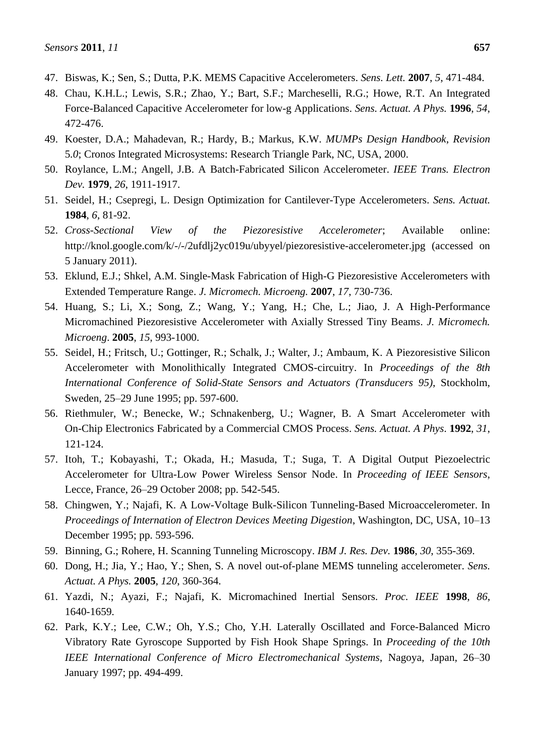- 47. Biswas, K.; Sen, S.; Dutta, P.K. MEMS Capacitive Accelerometers. *Sens. Lett.* **2007**, *5*, 471-484.
- 48. Chau, K.H.L.; Lewis, S.R.; Zhao, Y.; Bart, S.F.; Marcheselli, R.G.; Howe, R.T. An Integrated Force-Balanced Capacitive Accelerometer for low-g Applications. *Sens. Actuat. A Phys.* **1996**, *54*, 472-476.
- 49. Koester, D.A.; Mahadevan, R.; Hardy, B.; Markus, K.W. *MUMPs Design Handbook*, *Revision* 5*.0*; Cronos Integrated Microsystems: Research Triangle Park, NC, USA, 2000.
- 50. Roylance, L.M.; Angell, J.B. A Batch-Fabricated Silicon Accelerometer. *IEEE Trans. Electron Dev.* **1979**, *26*, 1911-1917.
- 51. Seidel, H.; Csepregi, L. Design Optimization for Cantilever-Type Accelerometers. *Sens. Actuat.* **1984**, *6*, 81-92.
- 52. *Cross-Sectional View of the Piezoresistive Accelerometer*; Available online: http://knol.google.com/k/-/-/2ufdlj2yc019u/ubyyel/piezoresistive-accelerometer.jpg (accessed on 5 January 2011).
- 53. Eklund, E.J.; Shkel, A.M. Single-Mask Fabrication of High-G Piezoresistive Accelerometers with Extended Temperature Range. *J. Micromech. Microeng.* **2007**, *17*, 730-736.
- 54. Huang, S.; Li, X.; Song, Z.; Wang, Y.; Yang, H.; Che, L.; Jiao, J. A High-Performance Micromachined Piezoresistive Accelerometer with Axially Stressed Tiny Beams. *J. Micromech. Microeng*. **2005**, *15*, 993-1000.
- 55. Seidel, H.; Fritsch, U.; Gottinger, R.; Schalk, J.; Walter, J.; Ambaum, K. A Piezoresistive Silicon Accelerometer with Monolithically Integrated CMOS-circuitry. In *Proceedings of the 8th International Conference of Solid-State Sensors and Actuators (Transducers 95)*, Stockholm, Sweden, 25–29 June 1995; pp. 597-600.
- 56. Riethmuler, W.; Benecke, W.; Schnakenberg, U.; Wagner, B. A Smart Accelerometer with On-Chip Electronics Fabricated by a Commercial CMOS Process. *Sens. Actuat. A Phys*. **1992**, *31*, 121-124.
- 57. Itoh, T.; Kobayashi, T.; Okada, H.; Masuda, T.; Suga, T. A Digital Output Piezoelectric Accelerometer for Ultra-Low Power Wireless Sensor Node. In *Proceeding of IEEE Sensors*, Lecce, France, 26–29 October 2008; pp. 542-545.
- 58. Chingwen, Y.; Najafi, K. A Low-Voltage Bulk-Silicon Tunneling-Based Microaccelerometer. In *Proceedings of Internation of Electron Devices Meeting Digestion*, Washington, DC, USA, 10–13 December 1995; pp. 593-596.
- 59. Binning, G.; Rohere, H. Scanning Tunneling Microscopy. *IBM J. Res. Dev.* **1986**, *30*, 355-369.
- 60. Dong, H.; Jia, Y.; Hao, Y.; Shen, S. A novel out-of-plane MEMS tunneling accelerometer. *Sens. Actuat. A Phys.* **2005**, *120*, 360-364.
- 61. Yazdi, N.; Ayazi, F.; Najafi, K. Micromachined Inertial Sensors. *Proc. IEEE* **1998**, *86*, 1640-1659.
- 62. Park, K.Y.; Lee, C.W.; Oh, Y.S.; Cho, Y.H. Laterally Oscillated and Force-Balanced Micro Vibratory Rate Gyroscope Supported by Fish Hook Shape Springs. In *Proceeding of the 10th IEEE International Conference of Micro Electromechanical Systems*, Nagoya, Japan, 26–30 January 1997; pp. 494-499.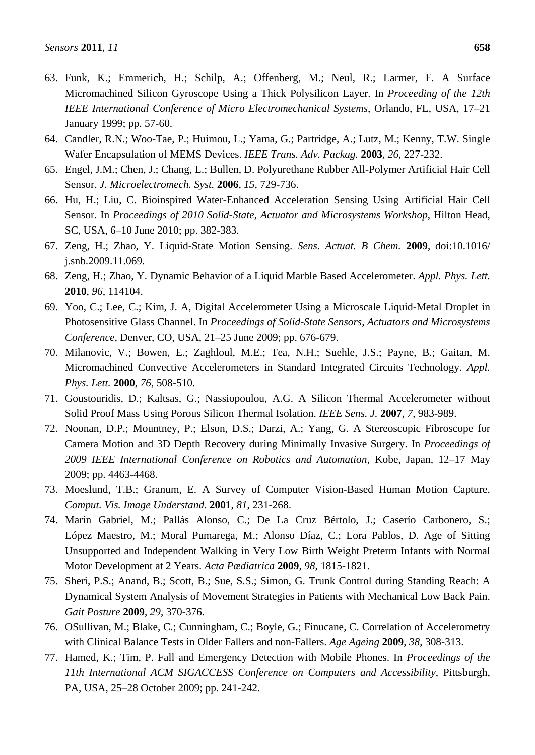- 63. Funk, K.; Emmerich, H.; Schilp, A.; Offenberg, M.; Neul, R.; Larmer, F. A Surface Micromachined Silicon Gyroscope Using a Thick Polysilicon Layer. In *Proceeding of the 12th IEEE International Conference of Micro Electromechanical Systems*, Orlando, FL, USA, 17–21 January 1999; pp. 57-60.
- 64. Candler, R.N.; Woo-Tae, P.; Huimou, L.; Yama, G.; Partridge, A.; Lutz, M.; Kenny, T.W. Single Wafer Encapsulation of MEMS Devices. *IEEE Trans. Adv. Packag.* **2003**, *26*, 227-232.
- 65. Engel, J.M.; Chen, J.; Chang, L.; Bullen, D. Polyurethane Rubber All-Polymer Artificial Hair Cell Sensor. *J. Microelectromech. Syst.* **2006**, *15*, 729-736.
- 66. Hu, H.; Liu, C. Bioinspired Water-Enhanced Acceleration Sensing Using Artificial Hair Cell Sensor. In *Proceedings of 2010 Solid-State, Actuator and Microsystems Workshop*, Hilton Head, SC, USA, 6–10 June 2010; pp. 382-383.
- 67. Zeng, H.; Zhao, Y. Liquid-State Motion Sensing. *Sens. Actuat. B Chem.* **2009**, doi:10.1016/ j.snb.2009.11.069.
- 68. Zeng, H.; Zhao, Y. Dynamic Behavior of a Liquid Marble Based Accelerometer. *Appl. Phys. Lett.* **2010**, *96*, 114104.
- 69. Yoo, C.; Lee, C.; Kim, J. A, Digital Accelerometer Using a Microscale Liquid-Metal Droplet in Photosensitive Glass Channel. In *Proceedings of Solid-State Sensors, Actuators and Microsystems Conference*, Denver, CO, USA, 21–25 June 2009; pp. 676-679.
- 70. Milanovic, V.; Bowen, E.; Zaghloul, M.E.; Tea, N.H.; Suehle, J.S.; Payne, B.; Gaitan, M. Micromachined Convective Accelerometers in Standard Integrated Circuits Technology. *Appl. Phys. Lett.* **2000**, *76*, 508-510.
- 71. Goustouridis, D.; Kaltsas, G.; Nassiopoulou, A.G. A Silicon Thermal Accelerometer without Solid Proof Mass Using Porous Silicon Thermal Isolation. *IEEE Sens. J.* **2007**, *7*, 983-989.
- 72. Noonan, D.P.; Mountney, P.; Elson, D.S.; Darzi, A.; Yang, G. A Stereoscopic Fibroscope for Camera Motion and 3D Depth Recovery during Minimally Invasive Surgery. In *Proceedings of 2009 IEEE International Conference on Robotics and Automation*, Kobe, Japan, 12–17 May 2009; pp. 4463-4468.
- 73. Moeslund, T.B.; Granum, E. A Survey of Computer Vision-Based Human Motion Capture. *Comput. Vis. Image Understand*. **2001**, *81*, 231-268.
- 74. Marín Gabriel, M.; Pallás Alonso, C.; De La Cruz Bértolo, J.; Caserío Carbonero, S.; López Maestro, M.; Moral Pumarega, M.; Alonso Díaz, C.; Lora Pablos, D. Age of Sitting Unsupported and Independent Walking in Very Low Birth Weight Preterm Infants with Normal Motor Development at 2 Years. *Acta Pædiatrica* **2009**, *98*, 1815-1821.
- 75. Sheri, P.S.; Anand, B.; Scott, B.; Sue, S.S.; Simon, G. Trunk Control during Standing Reach: A Dynamical System Analysis of Movement Strategies in Patients with Mechanical Low Back Pain. *Gait Posture* **2009**, *29*, 370-376.
- 76. OSullivan, M.; Blake, C.; Cunningham, C.; Boyle, G.; Finucane, C. Correlation of Accelerometry with Clinical Balance Tests in Older Fallers and non-Fallers. *Age Ageing* **2009**, *38*, 308-313.
- 77. Hamed, K.; Tim, P. Fall and Emergency Detection with Mobile Phones. In *Proceedings of the 11th International ACM SIGACCESS Conference on Computers and Accessibility*, Pittsburgh, PA, USA, 25–28 October 2009; pp. 241-242.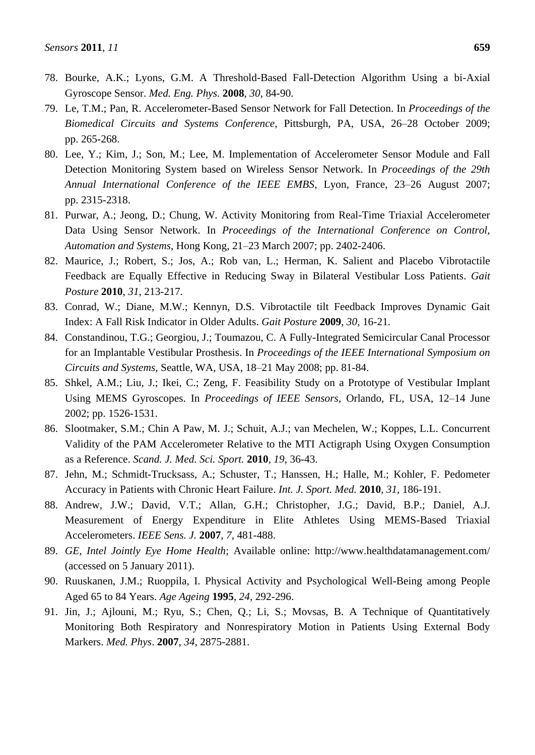- 78. Bourke, A.K.; Lyons, G.M. A Threshold-Based Fall-Detection Algorithm Using a bi-Axial Gyroscope Sensor. *Med. Eng. Phys.* **2008**, *30*, 84-90.
- 79. Le, T.M.; Pan, R. Accelerometer-Based Sensor Network for Fall Detection. In *Proceedings of the Biomedical Circuits and Systems Conference*, Pittsburgh, PA, USA, 26–28 October 2009; pp. 265-268.
- 80. Lee, Y.; Kim, J.; Son, M.; Lee, M. Implementation of Accelerometer Sensor Module and Fall Detection Monitoring System based on Wireless Sensor Network. In *Proceedings of the 29th Annual International Conference of the IEEE EMBS*, Lyon, France, 23–26 August 2007; pp. 2315-2318.
- 81. Purwar, A.; Jeong, D.; Chung, W. Activity Monitoring from Real-Time Triaxial Accelerometer Data Using Sensor Network. In *Proceedings of the International Conference on Control, Automation and Systems*, Hong Kong, 21–23 March 2007; pp. 2402-2406.
- 82. Maurice, J.; Robert, S.; Jos, A.; Rob van, L.; Herman, K. Salient and Placebo Vibrotactile Feedback are Equally Effective in Reducing Sway in Bilateral Vestibular Loss Patients. *Gait Posture* **2010**, *31*, 213-217.
- 83. Conrad, W.; Diane, M.W.; Kennyn, D.S. Vibrotactile tilt Feedback Improves Dynamic Gait Index: A Fall Risk Indicator in Older Adults. *Gait Posture* **2009**, *30*, 16-21.
- 84. Constandinou, T.G.; Georgiou, J.; Toumazou, C. A Fully-Integrated Semicircular Canal Processor for an Implantable Vestibular Prosthesis. In *Proceedings of the IEEE International Symposium on Circuits and Systems*, Seattle, WA, USA, 18–21 May 2008; pp. 81-84.
- 85. Shkel, A.M.; Liu, J.; Ikei, C.; Zeng, F. Feasibility Study on a Prototype of Vestibular Implant Using MEMS Gyroscopes. In *Proceedings of IEEE Sensors*, Orlando, FL, USA, 12–14 June 2002; pp. 1526-1531.
- 86. Slootmaker, S.M.; Chin A Paw, M. J.; Schuit, A.J.; van Mechelen, W.; Koppes, L.L. Concurrent Validity of the PAM Accelerometer Relative to the MTI Actigraph Using Oxygen Consumption as a Reference. *Scand. J. Med. Sci. Sport.* **2010**, *19*, 36-43.
- 87. Jehn, M.; Schmidt-Trucksass, A.; Schuster, T.; Hanssen, H.; Halle, M.; Kohler, F. Pedometer Accuracy in Patients with Chronic Heart Failure. *Int. J. Sport. Med.* **2010**, *31*, 186-191.
- 88. Andrew, J.W.; David, V.T.; Allan, G.H.; Christopher, J.G.; David, B.P.; Daniel, A.J. Measurement of Energy Expenditure in Elite Athletes Using MEMS-Based Triaxial Accelerometers. *IEEE Sens. J.* **2007**, *7*, 481-488.
- 89. *GE, Intel Jointly Eye Home Health*; Available online: http://www.healthdatamanagement.com/ (accessed on 5 January 2011).
- 90. Ruuskanen, J.M.; Ruoppila, I. Physical Activity and Psychological Well-Being among People Aged 65 to 84 Years. *Age Ageing* **1995**, *24*, 292-296.
- 91. Jin, J.; Ajlouni, M.; Ryu, S.; Chen, Q.; Li, S.; Movsas, B. A Technique of Quantitatively Monitoring Both Respiratory and Nonrespiratory Motion in Patients Using External Body Markers. *Med. Phys*. **2007**, *34*, 2875-2881.